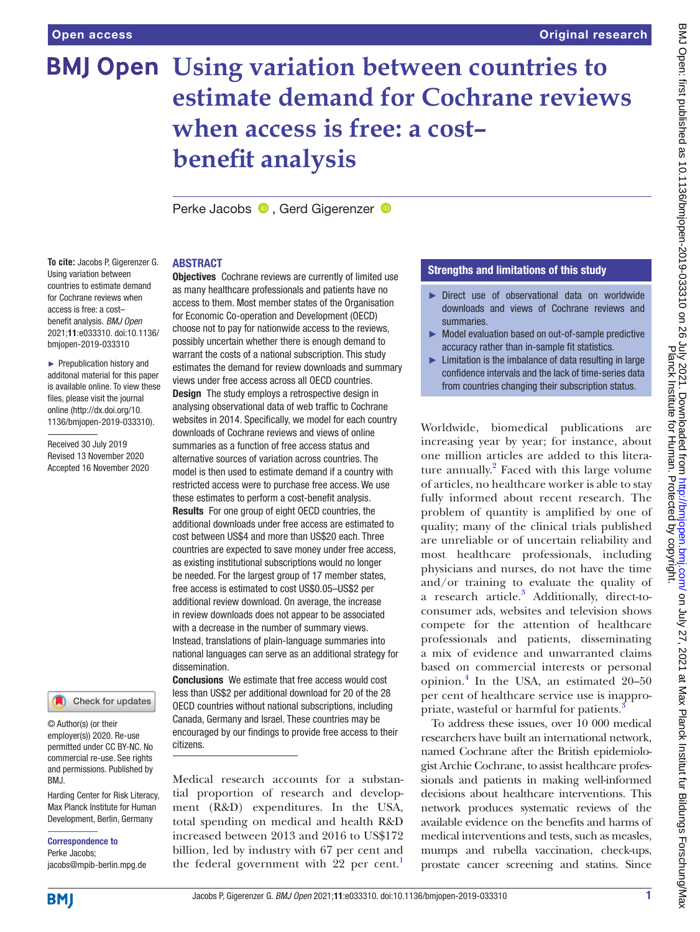# **BMJ Open Using variation between countries to estimate demand for Cochrane reviews when access is free: a cost– benefit analysis**

PerkeJacobs **D**. Gerd Gigerenzer **D** 

# ABSTRACT

**To cite:** Jacobs P, Gigerenzer G. Using variation between countries to estimate demand for Cochrane reviews when access is free: a cost– benefit analysis. *BMJ Open* 2021;11:e033310. doi:10.1136/ bmjopen-2019-033310

► Prepublication history and additonal material for this paper is available online. To view these files, please visit the journal online [\(http://dx.doi.org/10.](http://dx.doi.org/10.1136/bmjopen-2019-033310) [1136/bmjopen-2019-033310\)](http://dx.doi.org/10.1136/bmjopen-2019-033310).

Received 30 July 2019 Revised 13 November 2020 Accepted 16 November 2020

Check for updates

© Author(s) (or their employer(s)) 2020. Re-use permitted under CC BY-NC. No commercial re-use. See rights and permissions. Published by BMJ.

Harding Center for Risk Literacy, Max Planck Institute for Human Development, Berlin, Germany

Correspondence to Perke Jacobs; jacobs@mpib-berlin.mpg.de

**Objectives** Cochrane reviews are currently of limited use as many healthcare professionals and patients have no access to them. Most member states of the Organisation for Economic Co-operation and Development (OECD) choose not to pay for nationwide access to the reviews, possibly uncertain whether there is enough demand to warrant the costs of a national subscription. This study estimates the demand for review downloads and summary views under free access across all OECD countries. **Design** The study employs a retrospective design in analysing observational data of web traffic to Cochrane websites in 2014. Specifically, we model for each country downloads of Cochrane reviews and views of online summaries as a function of free access status and alternative sources of variation across countries. The model is then used to estimate demand if a country with restricted access were to purchase free access. We use these estimates to perform a cost-benefit analysis. Results For one group of eight OECD countries, the additional downloads under free access are estimated to cost between US\$4 and more than US\$20 each. Three countries are expected to save money under free access, as existing institutional subscriptions would no longer be needed. For the largest group of 17 member states, free access is estimated to cost US\$0.05–US\$2 per additional review download. On average, the increase in review downloads does not appear to be associated with a decrease in the number of summary views. Instead, translations of plain-language summaries into national languages can serve as an additional strategy for dissemination.

Conclusions We estimate that free access would cost less than US\$2 per additional download for 20 of the 28 OECD countries without national subscriptions, including Canada, Germany and Israel. These countries may be encouraged by our findings to provide free access to their citizens.

Medical research accounts for a substantial proportion of research and development (R&D) expenditures. In the USA, total spending on medical and health R&D increased between 2013 and 2016 to US\$172 billion, led by industry with 67 per cent and the federal government with 22 per cent.<sup>[1](#page-9-0)</sup>

# Strengths and limitations of this study

- ► Direct use of observational data on worldwide downloads and views of Cochrane reviews and summaries.
- ► Model evaluation based on out-of-sample predictive accuracy rather than in-sample fit statistics.
- ► Limitation is the imbalance of data resulting in large confidence intervals and the lack of time-series data from countries changing their subscription status.

Worldwide, biomedical publications are increasing year by year; for instance, about one million articles are added to this litera-ture annually.<sup>[2](#page-9-1)</sup> Faced with this large volume of articles, no healthcare worker is able to stay fully informed about recent research. The problem of quantity is amplified by one of quality; many of the clinical trials published are unreliable or of uncertain reliability and most healthcare professionals, including physicians and nurses, do not have the time and/or training to evaluate the quality of a research article.<sup>[3](#page-9-2)</sup> Additionally, direct-toconsumer ads, websites and television shows compete for the attention of healthcare professionals and patients, disseminating a mix of evidence and unwarranted claims based on commercial interests or personal opinion.[4](#page-9-3) In the USA, an estimated 20–50 per cent of healthcare service use is inappropriate, wasteful or harmful for patients.

To address these issues, over 10 000 medical researchers have built an international network, named Cochrane after the British epidemiologist Archie Cochrane, to assist healthcare professionals and patients in making well-informed decisions about healthcare interventions. This network produces systematic reviews of the available evidence on the benefits and harms of medical interventions and tests, such as measles, mumps and rubella vaccination, check-ups, prostate cancer screening and statins. Since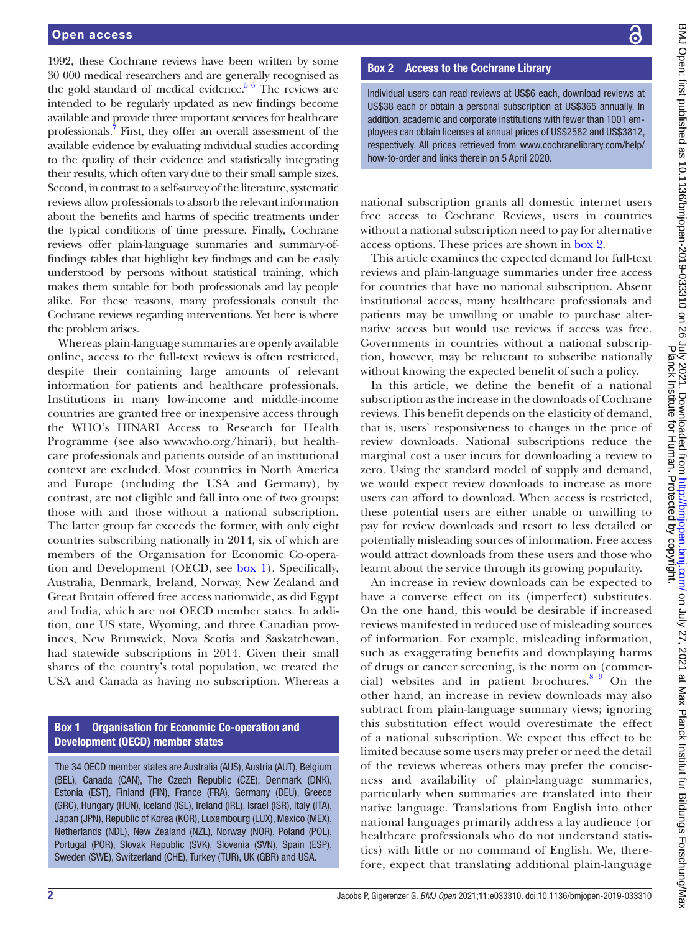1992, these Cochrane reviews have been written by some 30 000 medical researchers and are generally recognised as the gold standard of medical evidence.<sup>5 6</sup> The reviews are intended to be regularly updated as new findings become available and provide three important services for healthcare professionals.<sup>[7](#page-9-5)</sup> First, they offer an overall assessment of the available evidence by evaluating individual studies according to the quality of their evidence and statistically integrating their results, which often vary due to their small sample sizes. Second, in contrast to a self-survey of the literature, systematic reviews allow professionals to absorb the relevant information about the benefits and harms of specific treatments under the typical conditions of time pressure. Finally, Cochrane reviews offer plain-language summaries and summary-offindings tables that highlight key findings and can be easily understood by persons without statistical training, which makes them suitable for both professionals and lay people alike. For these reasons, many professionals consult the Cochrane reviews regarding interventions. Yet here is where the problem arises.

Whereas plain-language summaries are openly available online, access to the full-text reviews is often restricted, despite their containing large amounts of relevant information for patients and healthcare professionals. Institutions in many low-income and middle-income countries are granted free or inexpensive access through the WHO's HINARI Access to Research for Health Programme (see also <www.who.org/hinari>), but healthcare professionals and patients outside of an institutional context are excluded. Most countries in North America and Europe (including the USA and Germany), by contrast, are not eligible and fall into one of two groups: those with and those without a national subscription. The latter group far exceeds the former, with only eight countries subscribing nationally in 2014, six of which are members of the Organisation for Economic Co-operation and Development (OECD, see [box](#page-1-0) 1). Specifically, Australia, Denmark, Ireland, Norway, New Zealand and Great Britain offered free access nationwide, as did Egypt and India, which are not OECD member states. In addition, one US state, Wyoming, and three Canadian provinces, New Brunswick, Nova Scotia and Saskatchewan, had statewide subscriptions in 2014. Given their small shares of the country's total population, we treated the USA and Canada as having no subscription. Whereas a

# Box 1 Organisation for Economic Co-operation and Development (OECD) member states

<span id="page-1-0"></span>The 34 OECD member states are Australia (AUS), Austria (AUT), Belgium (BEL), Canada (CAN), The Czech Republic (CZE), Denmark (DNK), Estonia (EST), Finland (FIN), France (FRA), Germany (DEU), Greece (GRC), Hungary (HUN), Iceland (ISL), Ireland (IRL), Israel (ISR), Italy (ITA), Japan (JPN), Republic of Korea (KOR), Luxembourg (LUX), Mexico (MEX), Netherlands (NDL), New Zealand (NZL), Norway (NOR), Poland (POL), Portugal (POR), Slovak Republic (SVK), Slovenia (SVN), Spain (ESP), Sweden (SWE), Switzerland (CHE), Turkey (TUR), UK (GBR) and USA.

# BMJ Open: first published as 10.1136/bmjopen-2019-033310 on 26 July 2021. Downloaded from http://bmjopen.bmj.com/ on July 27, 2021 at Max Planck Institut fur Bildungs Forschung/Max<br>Planck published as 10.1136/bmjopen-2019BMJ Open: first published as 10.1136/bmjopen-2019-033310 on 26 July 2021. Downloaded from <http://bmjopen.bmj.com/> on July 27, 2021 at Max Planck Institut fur Bildungs Forschung/Max Planck Institute for Human. Protected by copyright.

# Box 2 Access to the Cochrane Library

<span id="page-1-1"></span>Individual users can read reviews at US\$6 each, download reviews at US\$38 each or obtain a personal subscription at US\$365 annually. In addition, academic and corporate institutions with fewer than 1001 employees can obtain licenses at annual prices of US\$2582 and US\$3812, respectively. All prices retrieved from www.cochranelibrary.com/help/ how-to-order and links therein on 5 April 2020.

national subscription grants all domestic internet users free access to Cochrane Reviews, users in countries without a national subscription need to pay for alternative access options. These prices are shown in [box](#page-1-1) 2.

This article examines the expected demand for full-text reviews and plain-language summaries under free access for countries that have no national subscription. Absent institutional access, many healthcare professionals and patients may be unwilling or unable to purchase alternative access but would use reviews if access was free. Governments in countries without a national subscription, however, may be reluctant to subscribe nationally without knowing the expected benefit of such a policy.

In this article, we define the benefit of a national subscription as the increase in the downloads of Cochrane reviews. This benefit depends on the elasticity of demand, that is, users' responsiveness to changes in the price of review downloads. National subscriptions reduce the marginal cost a user incurs for downloading a review to zero. Using the standard model of supply and demand, we would expect review downloads to increase as more users can afford to download. When access is restricted, these potential users are either unable or unwilling to pay for review downloads and resort to less detailed or potentially misleading sources of information. Free access would attract downloads from these users and those who learnt about the service through its growing popularity.

An increase in review downloads can be expected to have a converse effect on its (imperfect) substitutes. On the one hand, this would be desirable if increased reviews manifested in reduced use of misleading sources of information. For example, misleading information, such as exaggerating benefits and downplaying harms of drugs or cancer screening, is the norm on (commercial) websites and in patient brochures. $89$  On the other hand, an increase in review downloads may also subtract from plain-language summary views; ignoring this substitution effect would overestimate the effect of a national subscription. We expect this effect to be limited because some users may prefer or need the detail of the reviews whereas others may prefer the conciseness and availability of plain-language summaries, particularly when summaries are translated into their native language. Translations from English into other national languages primarily address a lay audience (or healthcare professionals who do not understand statistics) with little or no command of English. We, therefore, expect that translating additional plain-language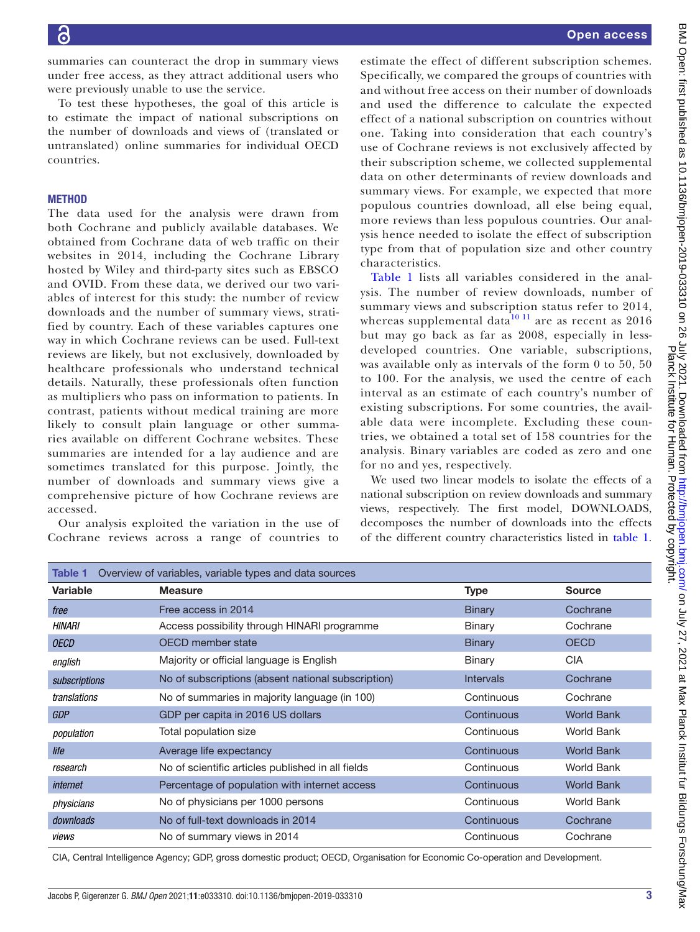summaries can counteract the drop in summary views under free access, as they attract additional users who were previously unable to use the service.

To test these hypotheses, the goal of this article is to estimate the impact of national subscriptions on the number of downloads and views of (translated or untranslated) online summaries for individual OECD countries.

## **METHOD**

The data used for the analysis were drawn from both Cochrane and publicly available databases. We obtained from Cochrane data of web traffic on their websites in 2014, including the Cochrane Library hosted by Wiley and third-party sites such as EBSCO and OVID. From these data, we derived our two variables of interest for this study: the number of review downloads and the number of summary views, stratified by country. Each of these variables captures one way in which Cochrane reviews can be used. Full-text reviews are likely, but not exclusively, downloaded by healthcare professionals who understand technical details. Naturally, these professionals often function as multipliers who pass on information to patients. In contrast, patients without medical training are more likely to consult plain language or other summaries available on different Cochrane websites. These summaries are intended for a lay audience and are sometimes translated for this purpose. Jointly, the number of downloads and summary views give a comprehensive picture of how Cochrane reviews are accessed.

Our analysis exploited the variation in the use of Cochrane reviews across a range of countries to

estimate the effect of different subscription schemes. Specifically, we compared the groups of countries with and without free access on their number of downloads and used the difference to calculate the expected effect of a national subscription on countries without one. Taking into consideration that each country's use of Cochrane reviews is not exclusively affected by their subscription scheme, we collected supplemental data on other determinants of review downloads and summary views. For example, we expected that more populous countries download, all else being equal, more reviews than less populous countries. Our analysis hence needed to isolate the effect of subscription type from that of population size and other country characteristics.

[Table](#page-2-0) 1 lists all variables considered in the analysis. The number of review downloads, number of summary views and subscription status refer to 2014, whereas supplemental data $10^{11}$  are as recent as 2016 but may go back as far as 2008, especially in lessdeveloped countries. One variable, subscriptions, was available only as intervals of the form 0 to 50, 50 to 100. For the analysis, we used the centre of each interval as an estimate of each country's number of existing subscriptions. For some countries, the available data were incomplete. Excluding these countries, we obtained a total set of 158 countries for the analysis. Binary variables are coded as zero and one for no and yes, respectively.

We used two linear models to isolate the effects of a national subscription on review downloads and summary views, respectively. The first model, DOWNLOADS, decomposes the number of downloads into the effects of the different country characteristics listed in [table](#page-2-0) 1.

<span id="page-2-0"></span>

| Overview of variables, variable types and data sources<br>Table 1 |                                                    |                  |                   |  |  |  |  |
|-------------------------------------------------------------------|----------------------------------------------------|------------------|-------------------|--|--|--|--|
| <b>Variable</b>                                                   | <b>Measure</b>                                     | <b>Type</b>      | <b>Source</b>     |  |  |  |  |
| free                                                              | Free access in 2014                                | <b>Binary</b>    | Cochrane          |  |  |  |  |
| HINARI                                                            | Access possibility through HINARI programme        | Binary           | Cochrane          |  |  |  |  |
| <b>OECD</b>                                                       | OECD member state                                  | <b>Binary</b>    | <b>OECD</b>       |  |  |  |  |
| english                                                           | Majority or official language is English           | Binary           | <b>CIA</b>        |  |  |  |  |
| subscriptions                                                     | No of subscriptions (absent national subscription) | <b>Intervals</b> | Cochrane          |  |  |  |  |
| translations                                                      | No of summaries in majority language (in 100)      | Continuous       | Cochrane          |  |  |  |  |
| <b>GDP</b>                                                        | GDP per capita in 2016 US dollars                  | Continuous       | <b>World Bank</b> |  |  |  |  |
| population                                                        | Total population size                              | Continuous       | World Bank        |  |  |  |  |
| life                                                              | Average life expectancy                            | Continuous       | <b>World Bank</b> |  |  |  |  |
| research                                                          | No of scientific articles published in all fields  | Continuous       | World Bank        |  |  |  |  |
| internet                                                          | Percentage of population with internet access      | Continuous       | <b>World Bank</b> |  |  |  |  |
| physicians                                                        | No of physicians per 1000 persons                  | Continuous       | <b>World Bank</b> |  |  |  |  |
| downloads                                                         | No of full-text downloads in 2014                  | Continuous       | Cochrane          |  |  |  |  |
| views                                                             | No of summary views in 2014                        | Continuous       | Cochrane          |  |  |  |  |
|                                                                   |                                                    |                  |                   |  |  |  |  |

CIA, Central Intelligence Agency; GDP, gross domestic product; OECD, Organisation for Economic Co-operation and Development.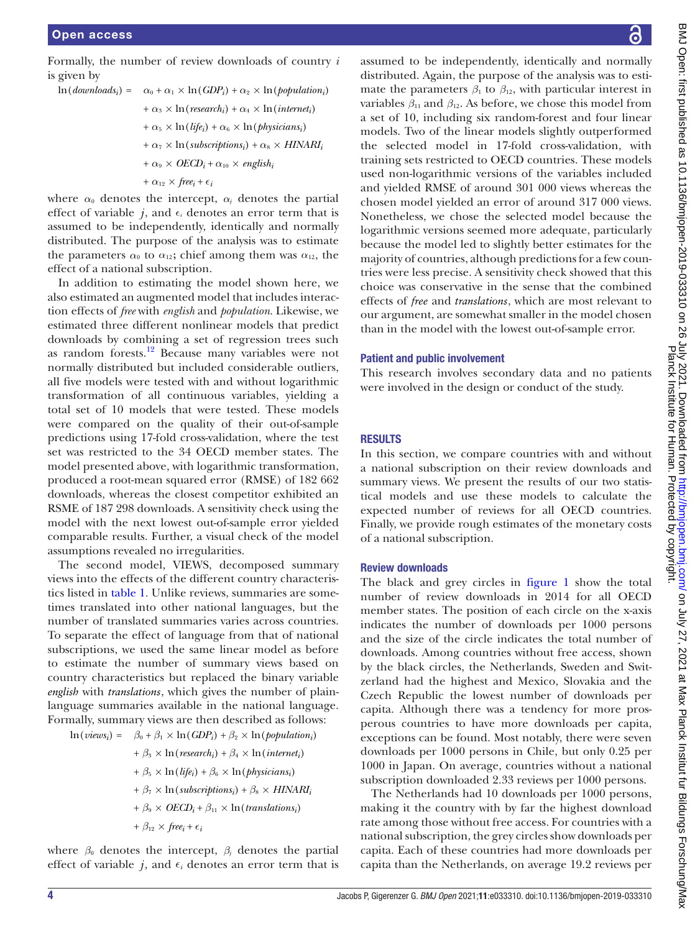Formally, the number of review downloads of country *i* is given by

$$
\ln(downloads_i) = \alpha_0 + \alpha_1 \times \ln(GDP_i) + \alpha_2 \times \ln(population_i)
$$
  
+  $\alpha_3 \times \ln(research_i) + \alpha_4 \times \ln(internet_i)$   
+  $\alpha_5 \times \ln(life_i) + \alpha_6 \times \ln(physicsians_i)$   
+  $\alpha_7 \times \ln(subscripts_i) + \alpha_8 \times HINARI_i$   
+  $\alpha_9 \times OECD_i + \alpha_{10} \times english_i$   
+  $\alpha_{12} \times free_i + \epsilon_i$ 

where  $\alpha_0$  denotes the intercept,  $\alpha_j$  denotes the partial effect of variable *j*, and  $\epsilon_i$  denotes an error term that is assumed to be independently, identically and normally distributed. The purpose of the analysis was to estimate the parameters  $\alpha_0$  to  $\alpha_{12}$ ; chief among them was  $\alpha_{12}$ , the effect of a national subscription.

In addition to estimating the model shown here, we also estimated an augmented model that includes interaction effects of *free* with *english* and *population*. Likewise, we estimated three different nonlinear models that predict downloads by combining a set of regression trees such as random forests.[12](#page-9-8) Because many variables were not normally distributed but included considerable outliers, all five models were tested with and without logarithmic transformation of all continuous variables, yielding a total set of 10 models that were tested. These models were compared on the quality of their out-of-sample predictions using 17-fold cross-validation, where the test set was restricted to the 34 OECD member states. The model presented above, with logarithmic transformation, produced a root-mean squared error (RMSE) of 182 662 downloads, whereas the closest competitor exhibited an RSME of 187 298 downloads. A sensitivity check using the model with the next lowest out-of-sample error yielded comparable results. Further, a visual check of the model assumptions revealed no irregularities.

The second model, VIEWS, decomposed summary views into the effects of the different country characteristics listed in [table](#page-2-0) 1. Unlike reviews, summaries are sometimes translated into other national languages, but the number of translated summaries varies across countries. To separate the effect of language from that of national subscriptions, we used the same linear model as before to estimate the number of summary views based on country characteristics but replaced the binary variable *english* with *translations*, which gives the number of plainlanguage summaries available in the national language. Formally, summary views are then described as follows:

 $\ln(views_i) = \beta_0 + \beta_1 \times \ln(GDP_i) + \beta_2 \times \ln(population_i)$ 

+  $\beta_3 \times \ln(r \text{e} \text{se} \text{a} \text{r} \text{c} h_i) + \beta_4 \times \ln(\text{inter} \text{e} t_i)$  $+ \beta_5 \times \ln(life_i) + \beta_6 \times \ln(\text{physical} \cdot n_i)$  $+ \beta_7 \times \ln(subscripts_i) + \beta_8 \times HINARI_i$  $+ \beta_9 \times OECD_i + \beta_{11} \times \ln (translations_i)$ +  $\beta_{12} \times free_i + \epsilon_i$ 

where  $\beta_0$  denotes the intercept,  $\beta_i$  denotes the partial effect of variable  $j$ , and  $\epsilon$ <sub>*i*</sub> denotes an error term that is

assumed to be independently, identically and normally distributed. Again, the purpose of the analysis was to estimate the parameters  $\beta_1$  to  $\beta_{12}$ , with particular interest in variables  $\beta_{11}$  and  $\beta_{12}$ . As before, we chose this model from a set of 10, including six random-forest and four linear models. Two of the linear models slightly outperformed the selected model in 17-fold cross-validation, with training sets restricted to OECD countries. These models used non-logarithmic versions of the variables included and yielded RMSE of around 301 000 views whereas the chosen model yielded an error of around 317 000 views. Nonetheless, we chose the selected model because the logarithmic versions seemed more adequate, particularly because the model led to slightly better estimates for the majority of countries, although predictions for a few countries were less precise. A sensitivity check showed that this choice was conservative in the sense that the combined effects of *free* and *translations*, which are most relevant to our argument, are somewhat smaller in the model chosen than in the model with the lowest out-of-sample error.

### Patient and public involvement

This research involves secondary data and no patients were involved in the design or conduct of the study.

### RESULTS

In this section, we compare countries with and without a national subscription on their review downloads and summary views. We present the results of our two statistical models and use these models to calculate the expected number of reviews for all OECD countries. Finally, we provide rough estimates of the monetary costs of a national subscription.

### Review downloads

The black and grey circles in [figure](#page-4-0) 1 show the total number of review downloads in 2014 for all OECD member states. The position of each circle on the x-axis indicates the number of downloads per 1000 persons and the size of the circle indicates the total number of downloads. Among countries without free access, shown by the black circles, the Netherlands, Sweden and Switzerland had the highest and Mexico, Slovakia and the Czech Republic the lowest number of downloads per capita. Although there was a tendency for more prosperous countries to have more downloads per capita, exceptions can be found. Most notably, there were seven downloads per 1000 persons in Chile, but only 0.25 per 1000 in Japan. On average, countries without a national subscription downloaded 2.33 reviews per 1000 persons.

The Netherlands had 10 downloads per 1000 persons, making it the country with by far the highest download rate among those without free access. For countries with a national subscription, the grey circles show downloads per capita. Each of these countries had more downloads per capita than the Netherlands, on average 19.2 reviews per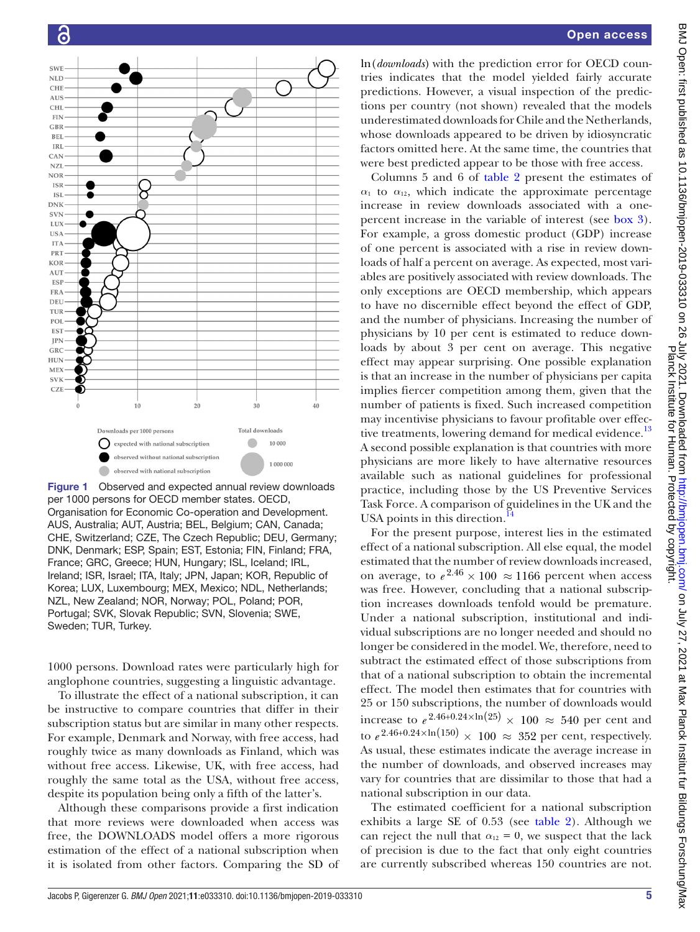

<span id="page-4-0"></span>Figure 1 Observed and expected annual review downloads per 1000 persons for OECD member states. OECD, Organisation for Economic Co-operation and Development. AUS, Australia; AUT, Austria; BEL, Belgium; CAN, Canada; CHE, Switzerland; CZE, The Czech Republic; DEU, Germany; DNK, Denmark; ESP, Spain; EST, Estonia; FIN, Finland; FRA, France; GRC, Greece; HUN, Hungary; ISL, Iceland; IRL, Ireland; ISR, Israel; ITA, Italy; JPN, Japan; KOR, Republic of Korea; LUX, Luxembourg; MEX, Mexico; NDL, Netherlands; NZL, New Zealand; NOR, Norway; POL, Poland; POR, Portugal; SVK, Slovak Republic; SVN, Slovenia; SWE, Sweden; TUR, Turkey.

1000 persons. Download rates were particularly high for anglophone countries, suggesting a linguistic advantage.

To illustrate the effect of a national subscription, it can be instructive to compare countries that differ in their subscription status but are similar in many other respects. For example, Denmark and Norway, with free access, had roughly twice as many downloads as Finland, which was without free access. Likewise, UK, with free access, had roughly the same total as the USA, without free access, despite its population being only a fifth of the latter's.

Although these comparisons provide a first indication that more reviews were downloaded when access was free, the DOWNLOADS model offers a more rigorous estimation of the effect of a national subscription when it is isolated from other factors. Comparing the SD of

ln(*downloads*) with the prediction error for OECD countries indicates that the model yielded fairly accurate predictions. However, a visual inspection of the predictions per country (not shown) revealed that the models underestimated downloads for Chile and the Netherlands, whose downloads appeared to be driven by idiosyncratic factors omitted here. At the same time, the countries that were best predicted appear to be those with free access.

Columns 5 and 6 of [table](#page-5-0) 2 present the estimates of  $\alpha_1$  to  $\alpha_{12}$ , which indicate the approximate percentage increase in review downloads associated with a onepercent increase in the variable of interest (see [box](#page-5-1) 3). For example, a gross domestic product (GDP) increase of one percent is associated with a rise in review downloads of half a percent on average. As expected, most variables are positively associated with review downloads. The only exceptions are OECD membership, which appears to have no discernible effect beyond the effect of GDP, and the number of physicians. Increasing the number of physicians by 10 per cent is estimated to reduce downloads by about 3 per cent on average. This negative effect may appear surprising. One possible explanation is that an increase in the number of physicians per capita implies fiercer competition among them, given that the number of patients is fixed. Such increased competition may incentivise physicians to favour profitable over effec-tive treatments, lowering demand for medical evidence.<sup>[13](#page-9-9)</sup> A second possible explanation is that countries with more physicians are more likely to have alternative resources available such as national guidelines for professional practice, including those by the US Preventive Services Task Force. A comparison of guidelines in the UK and the USA points in this direction.<sup>1</sup>

For the present purpose, interest lies in the estimated effect of a national subscription. All else equal, the model estimated that the number of review downloads increased, on average, to  $e^{2.46} \times 100 \approx 1166$  percent when access was free. However, concluding that a national subscription increases downloads tenfold would be premature. Under a national subscription, institutional and individual subscriptions are no longer needed and should no longer be considered in the model. We, therefore, need to subtract the estimated effect of those subscriptions from that of a national subscription to obtain the incremental effect. The model then estimates that for countries with 25 or 150 subscriptions, the number of downloads would increase to  $e^{2.46+0.24 \times \ln(25)} \times 100 \approx 540$  per cent and to  $e^{2.46+0.24\times\ln(150)} \times 100 \approx 352$  per cent, respectively. As usual, these estimates indicate the average increase in the number of downloads, and observed increases may vary for countries that are dissimilar to those that had a national subscription in our data.

The estimated coefficient for a national subscription exhibits a large SE of 0.53 (see [table](#page-5-0) 2). Although we can reject the null that  $\alpha_{12} = 0$ , we suspect that the lack of precision is due to the fact that only eight countries are currently subscribed whereas 150 countries are not.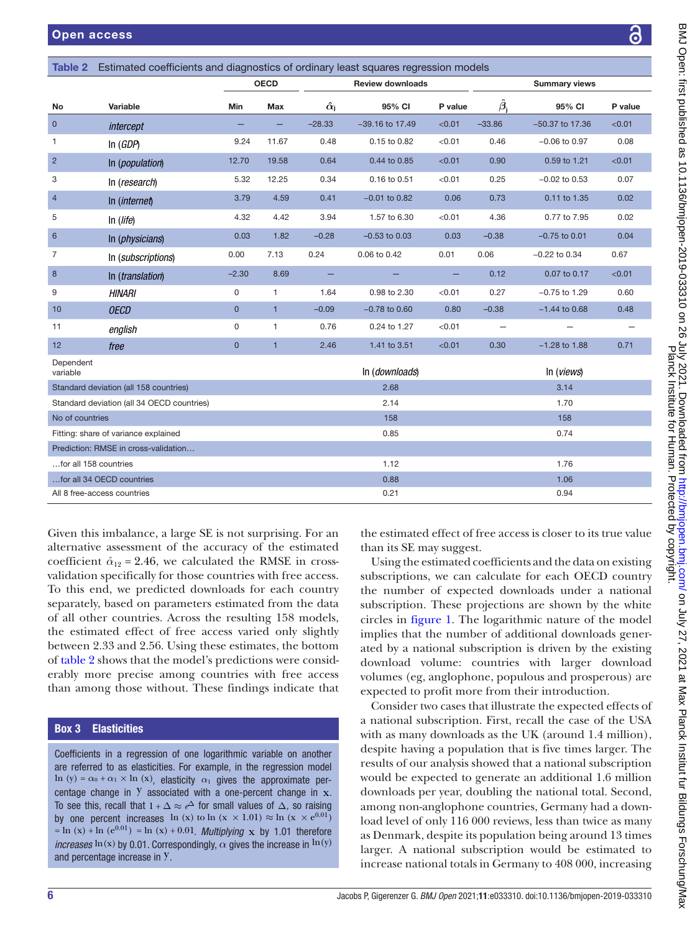<span id="page-5-0"></span>

| Estimated coefficients and diagnostics of ordinary least squares regression models<br>Table 2 |                           |                |              |                         |                   |                      |                                |                     |         |
|-----------------------------------------------------------------------------------------------|---------------------------|----------------|--------------|-------------------------|-------------------|----------------------|--------------------------------|---------------------|---------|
|                                                                                               |                           |                | <b>OECD</b>  | <b>Review downloads</b> |                   | <b>Summary views</b> |                                |                     |         |
| No                                                                                            | Variable                  | Min            | Max          | $\hat{\alpha}_{\rm j}$  | 95% CI            | P value              | $\boldsymbol{\hat{\beta}}_{i}$ | 95% CI              | P value |
| $\mathbf{0}$                                                                                  | intercept                 |                |              | $-28.33$                | $-39.16$ to 17.49 | < 0.01               | $-33.86$                       | $-50.37$ to 17.36   | < 0.01  |
| 1                                                                                             | In $(GDP)$                | 9.24           | 11.67        | 0.48                    | 0.15 to 0.82      | < 0.01               | 0.46                           | $-0.06$ to $0.97$   | 0.08    |
| $\overline{2}$                                                                                | In ( <i>population</i> )  | 12.70          | 19.58        | 0.64                    | 0.44 to 0.85      | < 0.01               | 0.90                           | 0.59 to 1.21        | < 0.01  |
| 3                                                                                             | In (research)             | 5.32           | 12.25        | 0.34                    | 0.16 to 0.51      | < 0.01               | 0.25                           | $-0.02$ to 0.53     | 0.07    |
| $\overline{4}$                                                                                | In ( <i>internet</i> )    | 3.79           | 4.59         | 0.41                    | $-0.01$ to 0.82   | 0.06                 | 0.73                           | 0.11 to 1.35        | 0.02    |
| 5                                                                                             | ln (life)                 | 4.32           | 4.42         | 3.94                    | 1.57 to 6.30      | < 0.01               | 4.36                           | 0.77 to 7.95        | 0.02    |
| $6\phantom{1}$                                                                                | In ( <i>physicians</i> )  | 0.03           | 1.82         | $-0.28$                 | $-0.53$ to $0.03$ | 0.03                 | $-0.38$                        | $-0.75$ to 0.01     | 0.04    |
| $\overline{7}$                                                                                | In (subscriptions)        | 0.00           | 7.13         | 0.24                    | 0.06 to 0.42      | 0.01                 | 0.06                           | $-0.22$ to 0.34     | 0.67    |
| $\bf 8$                                                                                       | In ( <i>translation</i> ) | $-2.30$        | 8.69         |                         |                   |                      | 0.12                           | 0.07 to 0.17        | < 0.01  |
| 9                                                                                             | <b>HINARI</b>             | 0              | 1            | 1.64                    | 0.98 to 2.30      | < 0.01               | 0.27                           | $-0.75$ to 1.29     | 0.60    |
| 10                                                                                            | <b>OECD</b>               | $\overline{0}$ | $\mathbf{1}$ | $-0.09$                 | $-0.78$ to $0.60$ | 0.80                 | $-0.38$                        | $-1.44$ to 0.68     | 0.48    |
| 11                                                                                            | english                   | 0              | 1            | 0.76                    | 0.24 to 1.27      | < 0.01               |                                |                     |         |
| 12                                                                                            | free                      | $\overline{0}$ | $\mathbf{1}$ | 2.46                    | 1.41 to 3.51      | < 0.01               | 0.30                           | $-1.28$ to 1.88     | 0.71    |
| Dependent<br>variable                                                                         |                           |                |              |                         | In (downloads)    |                      |                                | In ( <i>views</i> ) |         |
| Standard deviation (all 158 countries)                                                        |                           |                |              | 2.68                    |                   |                      | 3.14                           |                     |         |
| Standard deviation (all 34 OECD countries)                                                    |                           |                |              | 2.14                    |                   | 1.70                 |                                |                     |         |
| No of countries                                                                               |                           |                |              |                         | 158               |                      |                                | 158                 |         |
| Fitting: share of variance explained                                                          |                           |                |              |                         | 0.85              |                      |                                | 0.74                |         |
| Prediction: RMSE in cross-validation                                                          |                           |                |              |                         |                   |                      |                                |                     |         |
| for all 158 countries                                                                         |                           |                |              | 1.12                    |                   | 1.76                 |                                |                     |         |
| for all 34 OECD countries                                                                     |                           |                |              | 0.88                    |                   | 1.06                 |                                |                     |         |
| All 8 free-access countries                                                                   |                           |                |              |                         | 0.21              |                      |                                | 0.94                |         |

Given this imbalance, a large SE is not surprising. For an alternative assessment of the accuracy of the estimated coefficient  $\hat{\alpha}_{12} = 2.46$ , we calculated the RMSE in crossvalidation specifically for those countries with free access. To this end, we predicted downloads for each country separately, based on parameters estimated from the data of all other countries. Across the resulting 158 models, the estimated effect of free access varied only slightly between 2.33 and 2.56. Using these estimates, the bottom of [table](#page-5-0) 2 shows that the model's predictions were considerably more precise among countries with free access than among those without. These findings indicate that

# Box 3 Elasticities

<span id="page-5-1"></span>Coefficients in a regression of one logarithmic variable on another are referred to as elasticities. For example, in the regression model ln (y) =  $\alpha_0$  +  $\alpha_1$  × ln (x), elasticity  $\alpha_1$  gives the approximate percentage change in  $Y$  associated with a one-percent change in  $x$ . To see this, recall that  $1 + \Delta \approx e^{\Delta}$  for small values of  $\Delta$ , so raising by one percent increases ln (x) to ln (x  $\times$  1.01)  $\approx$  ln (x  $\times$  e<sup>0.01</sup>)  $= \ln (x) + \ln (e^{0.01}) = \ln (x) + 0.01$ . *Multiplying* x by 1.01 therefore *increases*  $\ln(x)$  by 0.01. Correspondingly,  $\alpha$  gives the increase in  $\ln(y)$ and percentage increase in y.

the estimated effect of free access is closer to its true value than its SE may suggest.

Using the estimated coefficients and the data on existing subscriptions, we can calculate for each OECD country the number of expected downloads under a national subscription. These projections are shown by the white circles in [figure](#page-4-0) 1. The logarithmic nature of the model implies that the number of additional downloads generated by a national subscription is driven by the existing download volume: countries with larger download volumes (eg, anglophone, populous and prosperous) are expected to profit more from their introduction.

Consider two cases that illustrate the expected effects of a national subscription. First, recall the case of the USA with as many downloads as the UK (around 1.4 million), despite having a population that is five times larger. The results of our analysis showed that a national subscription would be expected to generate an additional 1.6 million downloads per year, doubling the national total. Second, among non-anglophone countries, Germany had a download level of only 116 000 reviews, less than twice as many as Denmark, despite its population being around 13 times larger. A national subscription would be estimated to increase national totals in Germany to 408 000, increasing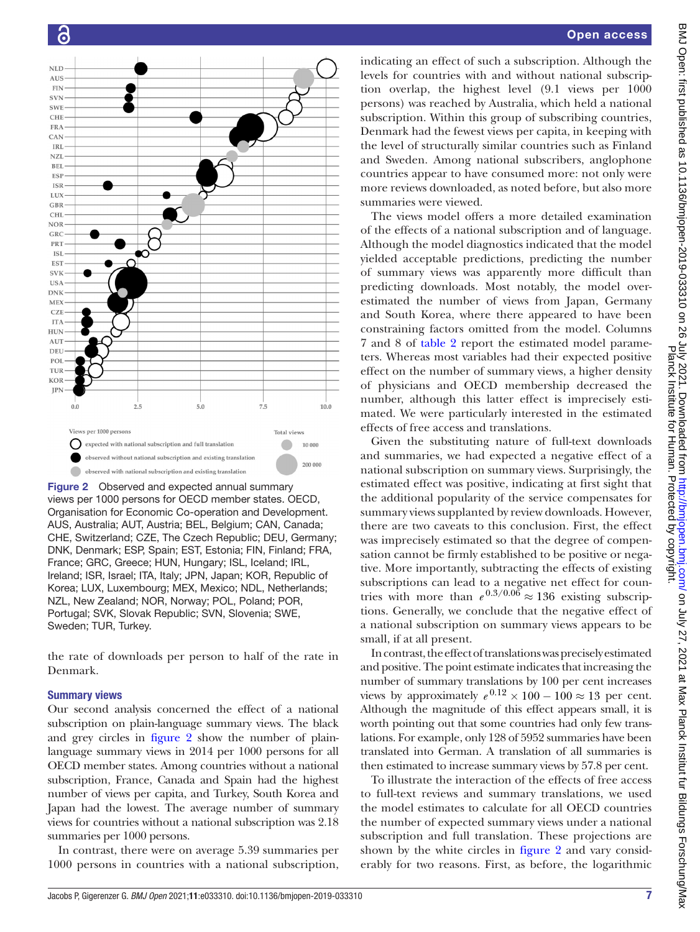

<span id="page-6-0"></span>Figure 2 Observed and expected annual summary views per 1000 persons for OECD member states. OECD, Organisation for Economic Co-operation and Development. AUS, Australia; AUT, Austria; BEL, Belgium; CAN, Canada; CHE, Switzerland; CZE, The Czech Republic; DEU, Germany; DNK, Denmark; ESP, Spain; EST, Estonia; FIN, Finland; FRA, France; GRC, Greece; HUN, Hungary; ISL, Iceland; IRL, Ireland; ISR, Israel; ITA, Italy; JPN, Japan; KOR, Republic of Korea; LUX, Luxembourg; MEX, Mexico; NDL, Netherlands; NZL, New Zealand; NOR, Norway; POL, Poland; POR, Portugal; SVK, Slovak Republic; SVN, Slovenia; SWE, Sweden; TUR, Turkey.

the rate of downloads per person to half of the rate in Denmark.

### Summary views

Our second analysis concerned the effect of a national subscription on plain-language summary views. The black and grey circles in [figure](#page-6-0) 2 show the number of plainlanguage summary views in 2014 per 1000 persons for all OECD member states. Among countries without a national subscription, France, Canada and Spain had the highest number of views per capita, and Turkey, South Korea and Japan had the lowest. The average number of summary views for countries without a national subscription was 2.18 summaries per 1000 persons.

In contrast, there were on average 5.39 summaries per 1000 persons in countries with a national subscription,

indicating an effect of such a subscription. Although the levels for countries with and without national subscription overlap, the highest level (9.1 views per 1000 persons) was reached by Australia, which held a national subscription. Within this group of subscribing countries, Denmark had the fewest views per capita, in keeping with the level of structurally similar countries such as Finland and Sweden. Among national subscribers, anglophone countries appear to have consumed more: not only were more reviews downloaded, as noted before, but also more summaries were viewed.

The views model offers a more detailed examination of the effects of a national subscription and of language. Although the model diagnostics indicated that the model yielded acceptable predictions, predicting the number of summary views was apparently more difficult than predicting downloads. Most notably, the model overestimated the number of views from Japan, Germany and South Korea, where there appeared to have been constraining factors omitted from the model. Columns 7 and 8 of [table](#page-5-0) 2 report the estimated model parameters. Whereas most variables had their expected positive effect on the number of summary views, a higher density of physicians and OECD membership decreased the number, although this latter effect is imprecisely estimated. We were particularly interested in the estimated effects of free access and translations.

Given the substituting nature of full-text downloads and summaries, we had expected a negative effect of a national subscription on summary views. Surprisingly, the estimated effect was positive, indicating at first sight that the additional popularity of the service compensates for summary views supplanted by review downloads. However, there are two caveats to this conclusion. First, the effect was imprecisely estimated so that the degree of compensation cannot be firmly established to be positive or negative. More importantly, subtracting the effects of existing subscriptions can lead to a negative net effect for countries with more than  $e^{0.3/0.06} \approx 136$  existing subscriptions. Generally, we conclude that the negative effect of a national subscription on summary views appears to be small, if at all present.

In contrast, the effect of translations was precisely estimated and positive. The point estimate indicates that increasing the number of summary translations by 100 per cent increases views by approximately  $e^{0.12} \times 100 - 100 \approx 13$  per cent. Although the magnitude of this effect appears small, it is worth pointing out that some countries had only few translations. For example, only 128 of 5952 summaries have been translated into German. A translation of all summaries is then estimated to increase summary views by 57.8 per cent.

To illustrate the interaction of the effects of free access to full-text reviews and summary translations, we used the model estimates to calculate for all OECD countries the number of expected summary views under a national subscription and full translation. These projections are shown by the white circles in [figure](#page-6-0) 2 and vary considerably for two reasons. First, as before, the logarithmic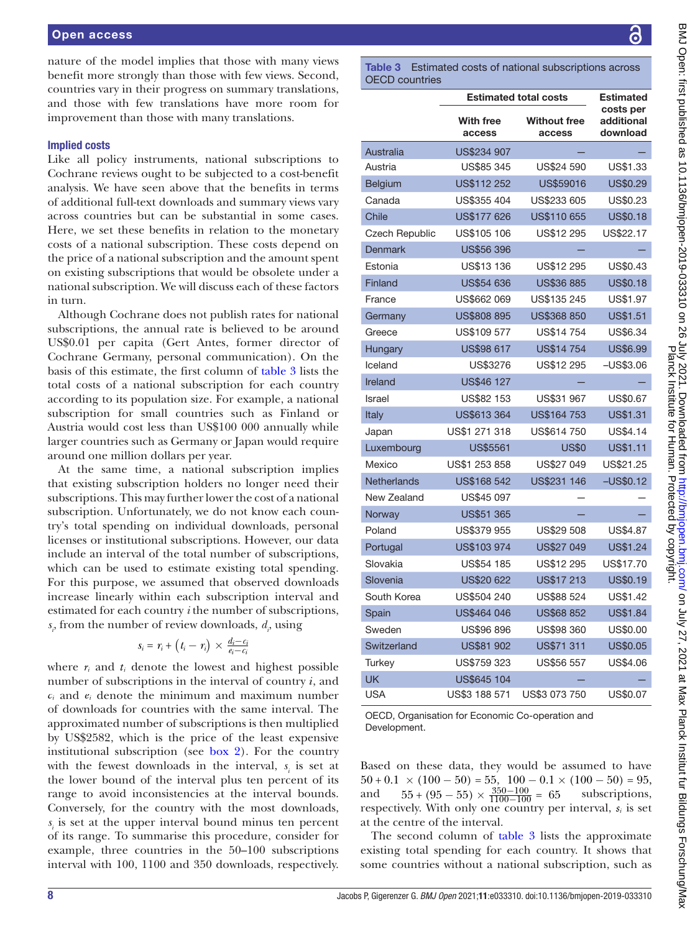nature of the model implies that those with many views benefit more strongly than those with few views. Second, countries vary in their progress on summary translations, and those with few translations have more room for improvement than those with many translations.

### Implied costs

Like all policy instruments, national subscriptions to Cochrane reviews ought to be subjected to a cost-benefit analysis. We have seen above that the benefits in terms of additional full-text downloads and summary views vary across countries but can be substantial in some cases. Here, we set these benefits in relation to the monetary costs of a national subscription. These costs depend on the price of a national subscription and the amount spent on existing subscriptions that would be obsolete under a national subscription. We will discuss each of these factors in turn.

Although Cochrane does not publish rates for national subscriptions, the annual rate is believed to be around US\$0.01 per capita (Gert Antes, former director of Cochrane Germany, personal communication). On the basis of this estimate, the first column of [table](#page-7-0) 3 lists the total costs of a national subscription for each country according to its population size. For example, a national subscription for small countries such as Finland or Austria would cost less than US\$100 000 annually while larger countries such as Germany or Japan would require around one million dollars per year.

At the same time, a national subscription implies that existing subscription holders no longer need their subscriptions. This may further lower the cost of a national subscription. Unfortunately, we do not know each country's total spending on individual downloads, personal licenses or institutional subscriptions. However, our data include an interval of the total number of subscriptions, which can be used to estimate existing total spending. For this purpose, we assumed that observed downloads increase linearly within each subscription interval and estimated for each country *i* the number of subscriptions,  $s$ <sub>*i*</sub>, from the number of review downloads,  $d$ <sub>*i*</sub>, using

$$
s_i = r_i + (t_i - r_i) \times \frac{d_i - c_i}{e_i - c_i}
$$

where  $r_i$  and  $t_i$  denote the lowest and highest possible number of subscriptions in the interval of country *i*, and *ci* and *ei* denote the minimum and maximum number of downloads for countries with the same interval. The approximated number of subscriptions is then multiplied by US\$2582, which is the price of the least expensive institutional subscription (see [box](#page-1-1) 2). For the country with the fewest downloads in the interval,  $s_i$  is set at the lower bound of the interval plus ten percent of its range to avoid inconsistencies at the interval bounds. Conversely, for the country with the most downloads,  $s<sub>i</sub>$  is set at the upper interval bound minus ten percent of its range. To summarise this procedure, consider for example, three countries in the 50–100 subscriptions interval with 100, 1100 and 350 downloads, respectively.

<span id="page-7-0"></span>Table 3 Estimated costs of national subscriptions across OECD countries

|                    | <b>Estimated total costs</b> | <b>Estimated</b>              |                                     |
|--------------------|------------------------------|-------------------------------|-------------------------------------|
|                    | <b>With free</b><br>access   | <b>Without free</b><br>access | costs per<br>additional<br>download |
| Australia          | US\$234 907                  |                               |                                     |
| Austria            | US\$85 345                   | US\$24 590                    | US\$1.33                            |
| <b>Belgium</b>     | US\$112 252                  | <b>US\$59016</b>              | US\$0.29                            |
| Canada             | US\$355 404                  | US\$233 605                   | US\$0.23                            |
| Chile              | US\$177 626                  | US\$110 655                   | US\$0.18                            |
| Czech Republic     | US\$105 106                  | US\$12 295                    | US\$22.17                           |
| <b>Denmark</b>     | <b>US\$56 396</b>            |                               |                                     |
| Estonia            | US\$13 136                   | US\$12 295                    | US\$0.43                            |
| Finland            | <b>US\$54 636</b>            | <b>US\$36 885</b>             | US\$0.18                            |
| France             | US\$662 069                  | US\$135 245                   | US\$1.97                            |
| Germany            | US\$808 895                  | US\$368 850                   | <b>US\$1.51</b>                     |
| Greece             | US\$109 577                  | US\$14 754                    | US\$6.34                            |
| Hungary            | US\$98 617                   | <b>US\$14754</b>              | <b>US\$6.99</b>                     |
| Iceland            | US\$3276                     | US\$12 295                    | $-US$3.06$                          |
| Ireland            | US\$46 127                   |                               |                                     |
| Israel             | US\$82 153                   | US\$31 967                    | US\$0.67                            |
| Italy              | US\$613 364                  | US\$164 753                   | US\$1.31                            |
| Japan              | US\$1 271 318                | US\$614 750                   | US\$4.14                            |
| Luxembourg         | US\$5561                     | <b>US\$0</b>                  | US\$1.11                            |
| Mexico             | US\$1 253 858                | US\$27 049                    | US\$21.25                           |
| <b>Netherlands</b> | US\$168 542                  | US\$231 146                   | $-US$0.12$                          |
| New Zealand        | US\$45 097                   |                               |                                     |
| Norway             | <b>US\$51 365</b>            |                               |                                     |
| Poland             | <b>US\$379955</b>            | US\$29 508                    | US\$4.87                            |
| Portugal           | US\$103 974                  | US\$27 049                    | US\$1.24                            |
| Slovakia           | US\$54 185                   | US\$12 295                    | US\$17.70                           |
| Slovenia           | US\$20 622                   | US\$17 213                    | US\$0.19                            |
| South Korea        | US\$504 240                  | US\$88 524                    | US\$1.42                            |
| Spain              | US\$464 046                  | <b>US\$68 852</b>             | <b>US\$1.84</b>                     |
| Sweden             | US\$96 896                   | US\$98 360                    | US\$0.00                            |
| Switzerland        | US\$81 902                   | US\$71 311                    | <b>US\$0.05</b>                     |
| Turkey             | US\$759 323                  | US\$56 557                    | US\$4.06                            |
| <b>UK</b>          | US\$645 104                  |                               |                                     |
| <b>USA</b>         | US\$3 188 571                | US\$3 073 750                 | US\$0.07                            |

OECD, Organisation for Economic Co-operation and Development.

Based on these data, they would be assumed to have  $50 + 0.1 \times (100 - 50) = 55$ ,  $100 - 0.1 \times (100 - 50) = 95$ ,<br>and  $55 + (95 - 55) \times \frac{350 - 100}{1100 - 100} = 65$  subscriptions, and  $55 + (95 - 55) \times \frac{350 - 100}{1100 - 100} = 65$  subscriptions, respectively. With only one country per interval, *si* is set at the centre of the interval.

The second column of [table](#page-7-0) 3 lists the approximate existing total spending for each country. It shows that some countries without a national subscription, such as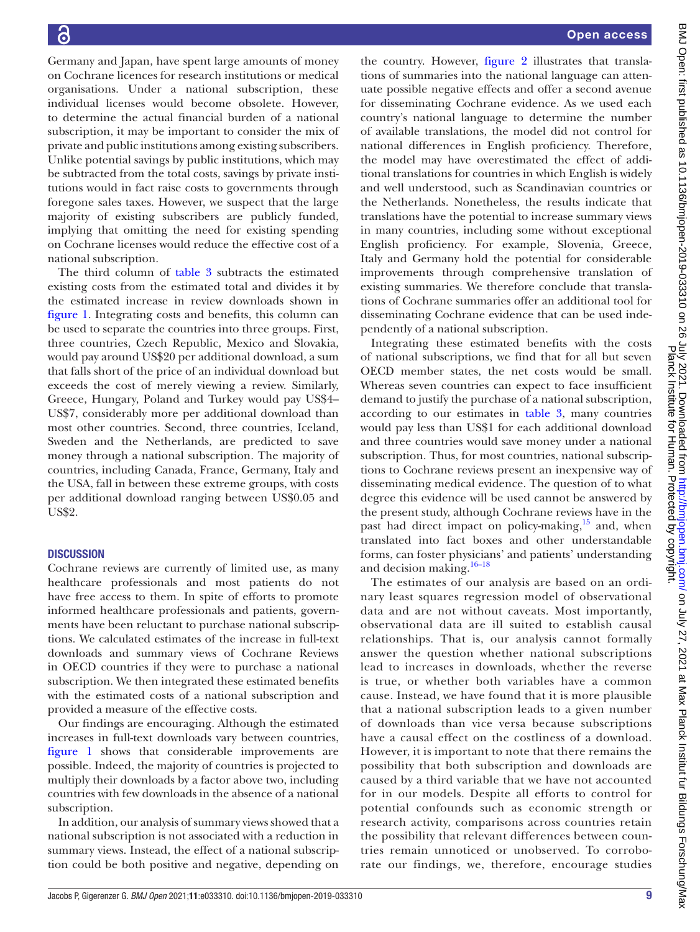Open access

Germany and Japan, have spent large amounts of money on Cochrane licences for research institutions or medical organisations. Under a national subscription, these individual licenses would become obsolete. However, to determine the actual financial burden of a national subscription, it may be important to consider the mix of private and public institutions among existing subscribers. Unlike potential savings by public institutions, which may be subtracted from the total costs, savings by private institutions would in fact raise costs to governments through foregone sales taxes. However, we suspect that the large majority of existing subscribers are publicly funded, implying that omitting the need for existing spending on Cochrane licenses would reduce the effective cost of a national subscription.

The third column of [table](#page-7-0) 3 subtracts the estimated existing costs from the estimated total and divides it by the estimated increase in review downloads shown in [figure](#page-4-0) 1. Integrating costs and benefits, this column can be used to separate the countries into three groups. First, three countries, Czech Republic, Mexico and Slovakia, would pay around US\$20 per additional download, a sum that falls short of the price of an individual download but exceeds the cost of merely viewing a review. Similarly, Greece, Hungary, Poland and Turkey would pay US\$4– US\$7, considerably more per additional download than most other countries. Second, three countries, Iceland, Sweden and the Netherlands, are predicted to save money through a national subscription. The majority of countries, including Canada, France, Germany, Italy and the USA, fall in between these extreme groups, with costs per additional download ranging between US\$0.05 and US\$2.

# **DISCUSSION**

Cochrane reviews are currently of limited use, as many healthcare professionals and most patients do not have free access to them. In spite of efforts to promote informed healthcare professionals and patients, governments have been reluctant to purchase national subscriptions. We calculated estimates of the increase in full-text downloads and summary views of Cochrane Reviews in OECD countries if they were to purchase a national subscription. We then integrated these estimated benefits with the estimated costs of a national subscription and provided a measure of the effective costs.

Our findings are encouraging. Although the estimated increases in full-text downloads vary between countries, [figure](#page-4-0) 1 shows that considerable improvements are possible. Indeed, the majority of countries is projected to multiply their downloads by a factor above two, including countries with few downloads in the absence of a national subscription.

In addition, our analysis of summary views showed that a national subscription is not associated with a reduction in summary views. Instead, the effect of a national subscription could be both positive and negative, depending on

the country. However, [figure](#page-6-0) 2 illustrates that translations of summaries into the national language can attenuate possible negative effects and offer a second avenue for disseminating Cochrane evidence. As we used each country's national language to determine the number of available translations, the model did not control for national differences in English proficiency. Therefore, the model may have overestimated the effect of additional translations for countries in which English is widely and well understood, such as Scandinavian countries or the Netherlands. Nonetheless, the results indicate that translations have the potential to increase summary views in many countries, including some without exceptional English proficiency. For example, Slovenia, Greece, Italy and Germany hold the potential for considerable improvements through comprehensive translation of existing summaries. We therefore conclude that translations of Cochrane summaries offer an additional tool for disseminating Cochrane evidence that can be used independently of a national subscription.

Integrating these estimated benefits with the costs of national subscriptions, we find that for all but seven OECD member states, the net costs would be small. Whereas seven countries can expect to face insufficient demand to justify the purchase of a national subscription, according to our estimates in [table](#page-7-0) 3, many countries would pay less than US\$1 for each additional download and three countries would save money under a national subscription. Thus, for most countries, national subscriptions to Cochrane reviews present an inexpensive way of disseminating medical evidence. The question of to what degree this evidence will be used cannot be answered by the present study, although Cochrane reviews have in the past had direct impact on policy-making, $15$  and, when translated into fact boxes and other understandable forms, can foster physicians' and patients' understanding and decision making.<sup>[16–18](#page-9-12)</sup>

The estimates of our analysis are based on an ordinary least squares regression model of observational data and are not without caveats. Most importantly, observational data are ill suited to establish causal relationships. That is, our analysis cannot formally answer the question whether national subscriptions lead to increases in downloads, whether the reverse is true, or whether both variables have a common cause. Instead, we have found that it is more plausible that a national subscription leads to a given number of downloads than vice versa because subscriptions have a causal effect on the costliness of a download. However, it is important to note that there remains the possibility that both subscription and downloads are caused by a third variable that we have not accounted for in our models. Despite all efforts to control for potential confounds such as economic strength or research activity, comparisons across countries retain the possibility that relevant differences between countries remain unnoticed or unobserved. To corroborate our findings, we, therefore, encourage studies